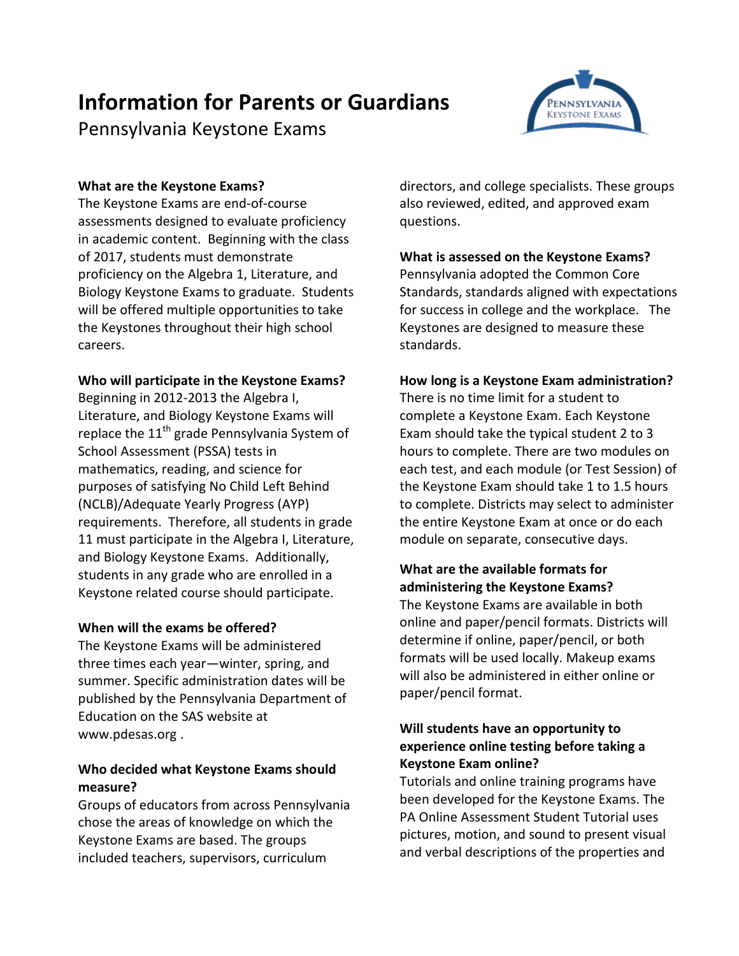# **Information for Parents or Guardians**

Pennsylvania Keystone Exams



## **What are the Keystone Exams?**

The Keystone Exams are end-of-course assessments designed to evaluate proficiency in academic content. Beginning with the class of 2017, students must demonstrate proficiency on the Algebra 1, Literature, and Biology Keystone Exams to graduate. Students will be offered multiple opportunities to take the Keystones throughout their high school careers.

## **Who will participate in the Keystone Exams?**

Beginning in 2012-2013 the Algebra I, Literature, and Biology Keystone Exams will replace the 11<sup>th</sup> grade Pennsylvania System of School Assessment (PSSA) tests in mathematics, reading, and science for purposes of satisfying No Child Left Behind (NCLB)/Adequate Yearly Progress (AYP) requirements. Therefore, all students in grade 11 must participate in the Algebra I, Literature, and Biology Keystone Exams. Additionally, students in any grade who are enrolled in a Keystone related course should participate.

## **When will the exams be offered?**

The Keystone Exams will be administered three times each year—winter, spring, and summer. Specific administration dates will be published by the Pennsylvania Department of Education on the SAS website at www.pdesas.org .

## **Who decided what Keystone Exams should measure?**

Groups of educators from across Pennsylvania chose the areas of knowledge on which the Keystone Exams are based. The groups included teachers, supervisors, curriculum

directors, and college specialists. These groups also reviewed, edited, and approved exam questions.

## **What is assessed on the Keystone Exams?**

Pennsylvania adopted the Common Core Standards, standards aligned with expectations for success in college and the workplace. The Keystones are designed to measure these standards.

## **How long is a Keystone Exam administration?**

There is no time limit for a student to complete a Keystone Exam. Each Keystone Exam should take the typical student 2 to 3 hours to complete. There are two modules on each test, and each module (or Test Session) of the Keystone Exam should take 1 to 1.5 hours to complete. Districts may select to administer the entire Keystone Exam at once or do each module on separate, consecutive days.

# **What are the available formats for administering the Keystone Exams?**

The Keystone Exams are available in both online and paper/pencil formats. Districts will determine if online, paper/pencil, or both formats will be used locally. Makeup exams will also be administered in either online or paper/pencil format.

## **Will students have an opportunity to experience online testing before taking a Keystone Exam online?**

Tutorials and online training programs have been developed for the Keystone Exams. The PA Online Assessment Student Tutorial uses pictures, motion, and sound to present visual and verbal descriptions of the properties and